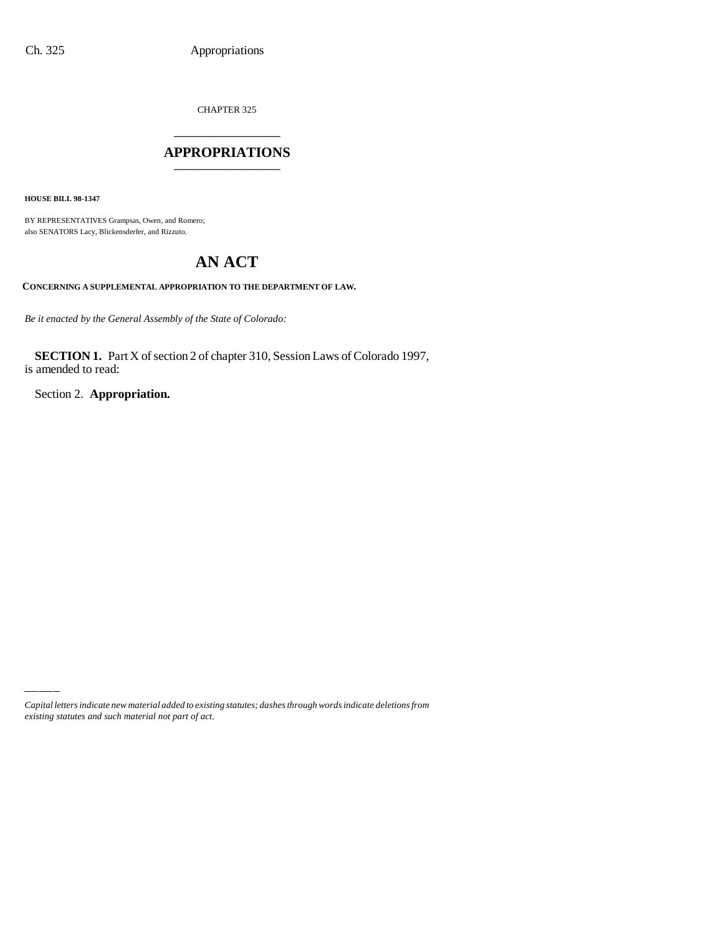CHAPTER 325 \_\_\_\_\_\_\_\_\_\_\_\_\_\_\_

### **APPROPRIATIONS** \_\_\_\_\_\_\_\_\_\_\_\_\_\_\_

**HOUSE BILL 98-1347**

BY REPRESENTATIVES Grampsas, Owen, and Romero; also SENATORS Lacy, Blickensderfer, and Rizzuto.

# **AN ACT**

**CONCERNING A SUPPLEMENTAL APPROPRIATION TO THE DEPARTMENT OF LAW.**

*Be it enacted by the General Assembly of the State of Colorado:*

**SECTION 1.** Part X of section 2 of chapter 310, Session Laws of Colorado 1997, is amended to read:

Section 2. **Appropriation.**

*Capital letters indicate new material added to existing statutes; dashes through words indicate deletions from existing statutes and such material not part of act.*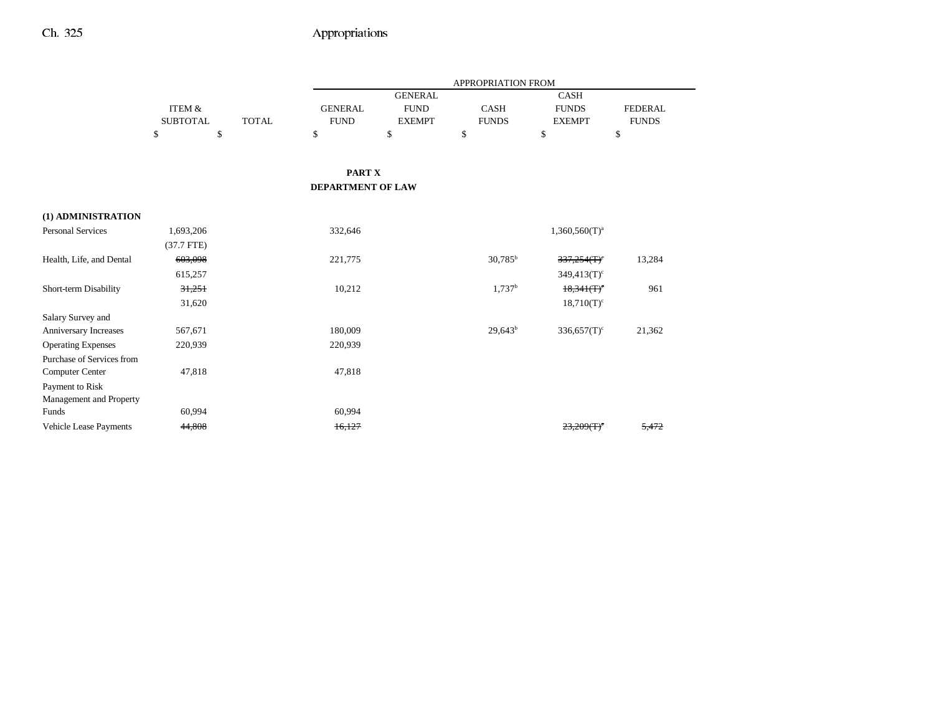|                           |                   |              |                          |                | APPROPRIATION FROM |                            |                |
|---------------------------|-------------------|--------------|--------------------------|----------------|--------------------|----------------------------|----------------|
|                           |                   |              |                          | <b>GENERAL</b> |                    | <b>CASH</b>                |                |
|                           | <b>ITEM &amp;</b> |              | <b>GENERAL</b>           | <b>FUND</b>    | CASH               | <b>FUNDS</b>               | <b>FEDERAL</b> |
|                           | <b>SUBTOTAL</b>   | <b>TOTAL</b> | <b>FUND</b>              | <b>EXEMPT</b>  | <b>FUNDS</b>       | <b>EXEMPT</b>              | <b>FUNDS</b>   |
|                           | \$                | \$           | \$                       | \$             | \$                 | \$                         | \$             |
|                           |                   |              |                          |                |                    |                            |                |
|                           |                   |              | <b>PART X</b>            |                |                    |                            |                |
|                           |                   |              | <b>DEPARTMENT OF LAW</b> |                |                    |                            |                |
| (1) ADMINISTRATION        |                   |              |                          |                |                    |                            |                |
| <b>Personal Services</b>  | 1,693,206         |              | 332,646                  |                |                    | $1,360,560(T)^{a}$         |                |
|                           | $(37.7$ FTE)      |              |                          |                |                    |                            |                |
| Health, Life, and Dental  | 603,098           |              | 221,775                  |                | $30,785^{\rm b}$   | $337,254$ (T) <sup>c</sup> | 13,284         |
|                           | 615,257           |              |                          |                |                    | $349,413(T)$ <sup>c</sup>  |                |
| Short-term Disability     | 31,251            |              | 10,212                   |                | 1,737 <sup>b</sup> | $18,341(T)$ <sup>c</sup>   | 961            |
|                           | 31,620            |              |                          |                |                    | $18,710(T)^c$              |                |
| Salary Survey and         |                   |              |                          |                |                    |                            |                |
| Anniversary Increases     | 567,671           |              | 180,009                  |                | $29,643^b$         | $336,657(T)$ <sup>c</sup>  | 21,362         |
| <b>Operating Expenses</b> | 220,939           |              | 220,939                  |                |                    |                            |                |
| Purchase of Services from |                   |              |                          |                |                    |                            |                |
| <b>Computer Center</b>    | 47,818            |              | 47,818                   |                |                    |                            |                |
| Payment to Risk           |                   |              |                          |                |                    |                            |                |
| Management and Property   |                   |              |                          |                |                    |                            |                |
| Funds                     | 60,994            |              | 60,994                   |                |                    |                            |                |
| Vehicle Lease Payments    | 44,808            |              | 16,127                   |                |                    | 23,209(T)                  | 5,472          |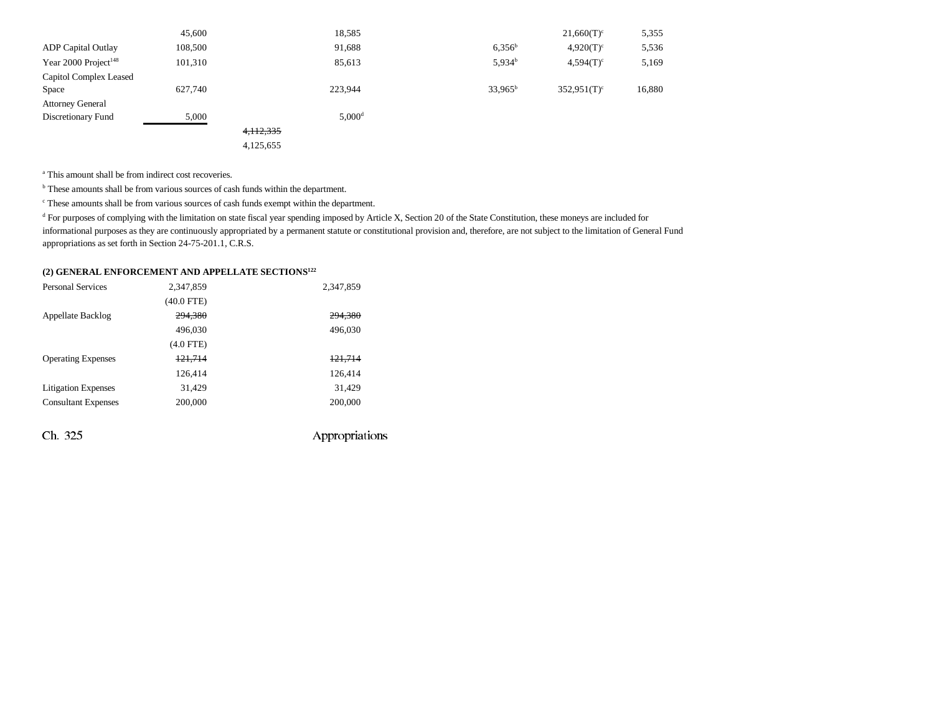|                                  | 45,600  |             | 18,585             |                    | $21,660(T)^c$             | 5,355  |
|----------------------------------|---------|-------------|--------------------|--------------------|---------------------------|--------|
| <b>ADP</b> Capital Outlay        | 108,500 |             | 91,688             | $6.356^{b}$        | $4,920(T)^c$              | 5,536  |
| Year 2000 Project <sup>148</sup> | 101,310 |             | 85,613             | 5.934 <sup>b</sup> | $4,594(T)^c$              | 5,169  |
| Capitol Complex Leased           |         |             |                    |                    |                           |        |
| Space                            | 627,740 |             | 223,944            | $33,965^b$         | $352,951(T)$ <sup>c</sup> | 16,880 |
| <b>Attorney General</b>          |         |             |                    |                    |                           |        |
| Discretionary Fund               | 5,000   |             | 5,000 <sup>d</sup> |                    |                           |        |
|                                  |         | 4, 112, 335 |                    |                    |                           |        |
|                                  |         | 4,125,655   |                    |                    |                           |        |

<sup>a</sup> This amount shall be from indirect cost recoveries.

<sup>b</sup> These amounts shall be from various sources of cash funds within the department.

c These amounts shall be from various sources of cash funds exempt within the department.

<sup>d</sup> For purposes of complying with the limitation on state fiscal year spending imposed by Article X, Section 20 of the State Constitution, these moneys are included for informational purposes as they are continuously appropriated by a permanent statute or constitutional provision and, therefore, are not subject to the limitation of General Fund appropriations as set forth in Section 24-75-201.1, C.R.S.

### **(2) GENERAL ENFORCEMENT AND APPELLATE SECTIONS122**

| <b>Personal Services</b>   | 2,347,859    | 2,347,859          |
|----------------------------|--------------|--------------------|
|                            | $(40.0$ FTE) |                    |
| <b>Appellate Backlog</b>   | 294,380      | <del>294,380</del> |
|                            | 496,030      | 496,030            |
|                            | $(4.0$ FTE)  |                    |
| <b>Operating Expenses</b>  | 121,714      | 121,714            |
|                            | 126,414      | 126,414            |
| <b>Litigation Expenses</b> | 31,429       | 31,429             |
| <b>Consultant Expenses</b> | 200,000      | 200,000            |
|                            |              |                    |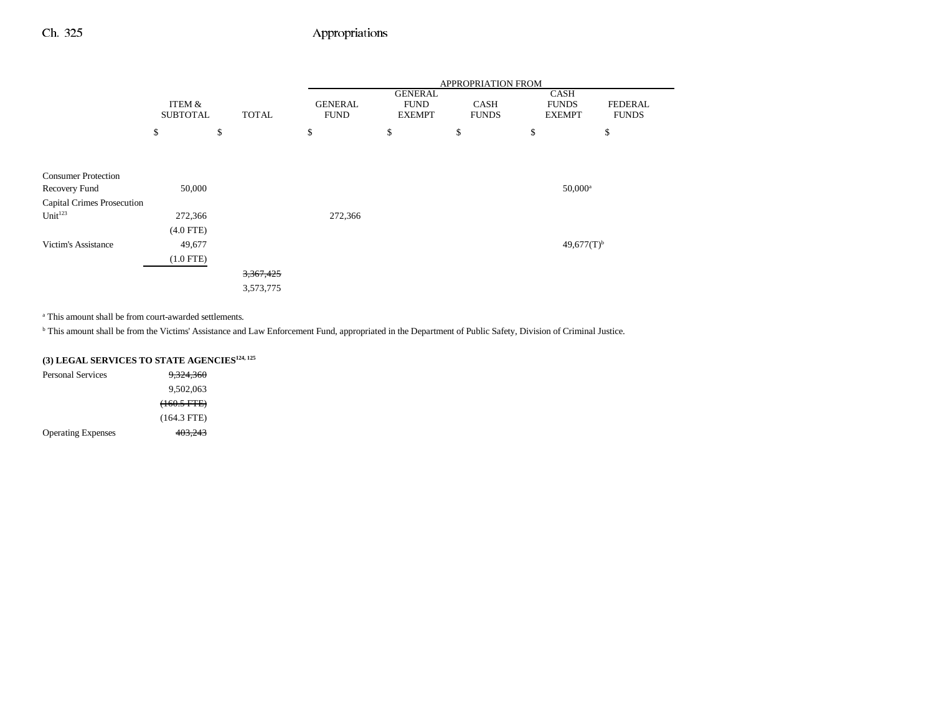|                            |                   |              | APPROPRIATION FROM |                               |              |                          |                |  |  |
|----------------------------|-------------------|--------------|--------------------|-------------------------------|--------------|--------------------------|----------------|--|--|
|                            | <b>ITEM &amp;</b> |              | <b>GENERAL</b>     | <b>GENERAL</b><br><b>FUND</b> | CASH         | CASH<br><b>FUNDS</b>     | <b>FEDERAL</b> |  |  |
|                            | <b>SUBTOTAL</b>   | <b>TOTAL</b> | <b>FUND</b>        | <b>EXEMPT</b>                 | <b>FUNDS</b> | <b>EXEMPT</b>            | <b>FUNDS</b>   |  |  |
|                            | \$                | \$           | \$                 | \$                            | \$           | \$                       | \$             |  |  |
|                            |                   |              |                    |                               |              |                          |                |  |  |
| <b>Consumer Protection</b> |                   |              |                    |                               |              |                          |                |  |  |
| Recovery Fund              | 50,000            |              |                    |                               |              | $50,000$ <sup>a</sup>    |                |  |  |
| Capital Crimes Prosecution |                   |              |                    |                               |              |                          |                |  |  |
| Unit <sup>123</sup>        | 272,366           |              | 272,366            |                               |              |                          |                |  |  |
|                            | $(4.0$ FTE)       |              |                    |                               |              |                          |                |  |  |
| Victim's Assistance        | 49,677            |              |                    |                               |              | $49,677(T)$ <sup>b</sup> |                |  |  |
|                            | $(1.0$ FTE)       |              |                    |                               |              |                          |                |  |  |
|                            |                   | 3,367,425    |                    |                               |              |                          |                |  |  |
|                            |                   | 3,573,775    |                    |                               |              |                          |                |  |  |

a This amount shall be from court-awarded settlements.

b This amount shall be from the Victims' Assistance and Law Enforcement Fund, appropriated in the Department of Public Safety, Division of Criminal Justice.

## **(3) LEGAL SERVICES TO STATE AGENCIES124, 125**

| Personal Services         | 9.324.360     |
|---------------------------|---------------|
|                           | 9,502,063     |
|                           | $(160.5$ FTE) |
|                           | $(164.3$ FTE) |
| <b>Operating Expenses</b> | 403,243       |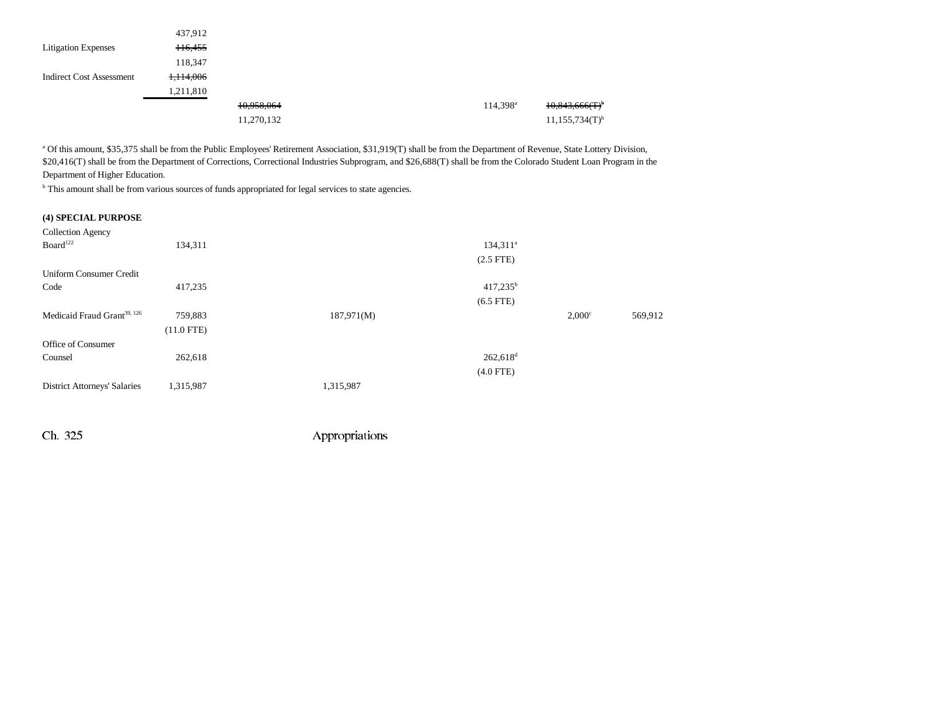|                                 | 437,912   |            |  |                   |                              |
|---------------------------------|-----------|------------|--|-------------------|------------------------------|
| <b>Litigation Expenses</b>      | 116,455   |            |  |                   |                              |
|                                 | 118,347   |            |  |                   |                              |
| <b>Indirect Cost Assessment</b> | 1,114,006 |            |  |                   |                              |
|                                 | 1,211,810 |            |  |                   |                              |
|                                 |           | 10,958,064 |  | $114,398^{\rm a}$ | 10,843,666(T)                |
|                                 |           | 11,270,132 |  |                   | $11,155,734(T)$ <sup>b</sup> |

<sup>a</sup> Of this amount, \$35,375 shall be from the Public Employees' Retirement Association, \$31,919(T) shall be from the Department of Revenue, State Lottery Division, \$20,416(T) shall be from the Department of Corrections, Correctional Industries Subprogram, and \$26,688(T) shall be from the Colorado Student Loan Program in the Department of Higher Education.

<sup>b</sup> This amount shall be from various sources of funds appropriated for legal services to state agencies.

#### **(4) SPECIAL PURPOSE**

| 134,311      | $134,311^a$            |                 |         |
|--------------|------------------------|-----------------|---------|
|              |                        |                 |         |
|              |                        |                 |         |
| 417,235      | $417,235^b$            |                 |         |
|              | $(6.5$ FTE)            |                 |         |
| 759,883      | 187,971(M)             | $2,000^{\circ}$ | 569,912 |
| $(11.0$ FTE) |                        |                 |         |
|              |                        |                 |         |
| 262,618      | $262,618$ <sup>d</sup> |                 |         |
|              | $(4.0$ FTE)            |                 |         |
| 1,315,987    | 1,315,987              |                 |         |
|              |                        | $(2.5$ FTE)     |         |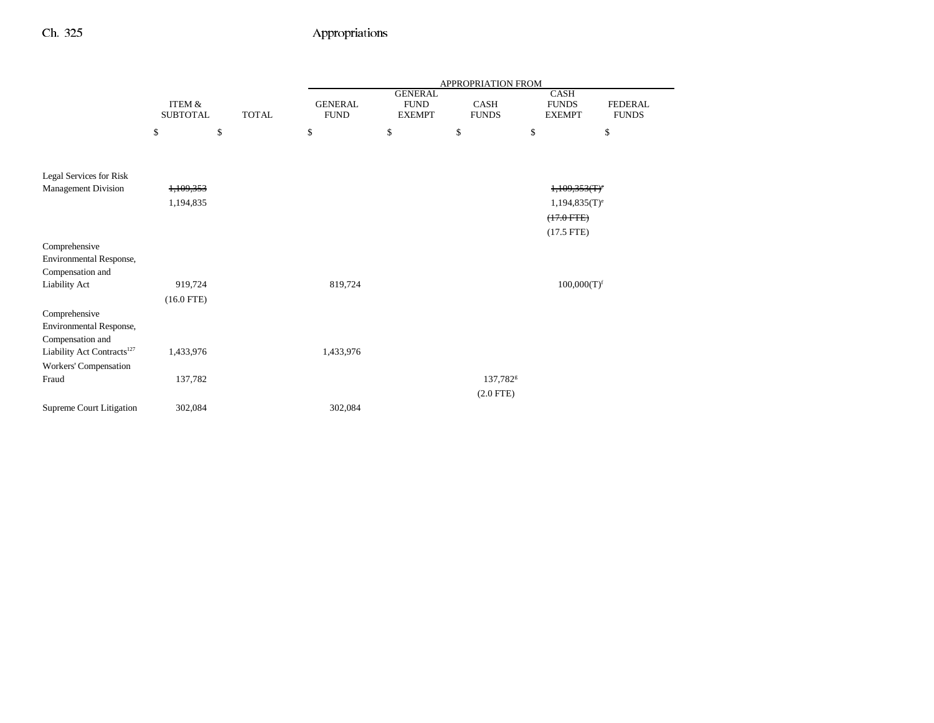|                                        |                                      |              | APPROPRIATION FROM            |                                                |                             |                                              |                                |
|----------------------------------------|--------------------------------------|--------------|-------------------------------|------------------------------------------------|-----------------------------|----------------------------------------------|--------------------------------|
|                                        | <b>ITEM &amp;</b><br><b>SUBTOTAL</b> | <b>TOTAL</b> | <b>GENERAL</b><br><b>FUND</b> | <b>GENERAL</b><br><b>FUND</b><br><b>EXEMPT</b> | <b>CASH</b><br><b>FUNDS</b> | <b>CASH</b><br><b>FUNDS</b><br><b>EXEMPT</b> | <b>FEDERAL</b><br><b>FUNDS</b> |
|                                        | \$                                   | \$           | \$                            | \$                                             | \$                          | \$                                           | \$                             |
|                                        |                                      |              |                               |                                                |                             |                                              |                                |
| Legal Services for Risk                |                                      |              |                               |                                                |                             |                                              |                                |
| <b>Management Division</b>             | 1,109,353                            |              |                               |                                                |                             | $+109.353(T)$                                |                                |
|                                        | 1,194,835                            |              |                               |                                                |                             | $1,194,835(T)$ <sup>e</sup>                  |                                |
|                                        |                                      |              |                               |                                                |                             | $(17.0$ FTE)                                 |                                |
|                                        |                                      |              |                               |                                                |                             | $(17.5$ FTE)                                 |                                |
| Comprehensive                          |                                      |              |                               |                                                |                             |                                              |                                |
| Environmental Response,                |                                      |              |                               |                                                |                             |                                              |                                |
| Compensation and                       |                                      |              |                               |                                                |                             |                                              |                                |
| Liability Act                          | 919,724                              |              | 819,724                       |                                                |                             | 100,000(T) <sup>f</sup>                      |                                |
|                                        | $(16.0$ FTE)                         |              |                               |                                                |                             |                                              |                                |
| Comprehensive                          |                                      |              |                               |                                                |                             |                                              |                                |
| Environmental Response,                |                                      |              |                               |                                                |                             |                                              |                                |
| Compensation and                       |                                      |              |                               |                                                |                             |                                              |                                |
| Liability Act Contracts <sup>127</sup> | 1,433,976                            |              | 1,433,976                     |                                                |                             |                                              |                                |
| Workers' Compensation                  |                                      |              |                               |                                                |                             |                                              |                                |
| Fraud                                  | 137,782                              |              |                               |                                                | 137,782 <sup>g</sup>        |                                              |                                |
|                                        |                                      |              |                               |                                                | $(2.0$ FTE)                 |                                              |                                |
| Supreme Court Litigation               | 302,084                              |              | 302,084                       |                                                |                             |                                              |                                |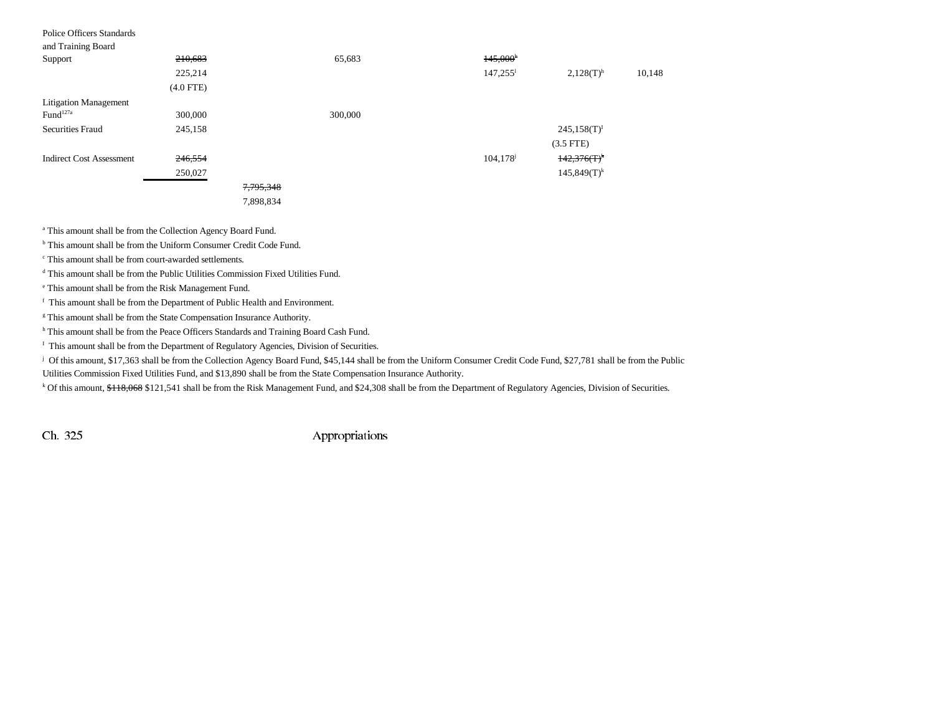| Police Officers Standards       |             |           |         |                        |                         |        |
|---------------------------------|-------------|-----------|---------|------------------------|-------------------------|--------|
| and Training Board              |             |           |         |                        |                         |        |
| Support                         | 210,683     |           | 65,683  | 145,000 <sup>h</sup>   |                         |        |
|                                 | 225,214     |           |         | $147,255$ <sup>1</sup> | $2,128(T)$ <sup>h</sup> | 10,148 |
|                                 | $(4.0$ FTE) |           |         |                        |                         |        |
| <b>Litigation Management</b>    |             |           |         |                        |                         |        |
| Fund <sup>127a</sup>            | 300,000     |           | 300,000 |                        |                         |        |
| <b>Securities Fraud</b>         | 245,158     |           |         |                        | $245,158(T)^T$          |        |
|                                 |             |           |         |                        | $(3.5$ FTE)             |        |
| <b>Indirect Cost Assessment</b> | 246,554     |           |         | 104, 178               | $142,376(T)^k$          |        |
|                                 | 250,027     |           |         |                        | $145,849(T)^k$          |        |
|                                 |             | 7,795,348 |         |                        |                         |        |
|                                 |             | 7,898,834 |         |                        |                         |        |

a This amount shall be from the Collection Agency Board Fund.

b This amount shall be from the Uniform Consumer Credit Code Fund.

c This amount shall be from court-awarded settlements.

d This amount shall be from the Public Utilities Commission Fixed Utilities Fund.

e This amount shall be from the Risk Management Fund.

f This amount shall be from the Department of Public Health and Environment.

<sup>g</sup> This amount shall be from the State Compensation Insurance Authority.

h This amount shall be from the Peace Officers Standards and Training Board Cash Fund.

<sup>I</sup> This amount shall be from the Department of Regulatory Agencies, Division of Securities.

<sup>j</sup> Of this amount, \$17,363 shall be from the Collection Agency Board Fund, \$45,144 shall be from the Uniform Consumer Credit Code Fund, \$27,781 shall be from the Public Utilities Commission Fixed Utilities Fund, and \$13,890 shall be from the State Compensation Insurance Authority.

k Of this amount, \$118,068 \$121,541 shall be from the Risk Management Fund, and \$24,308 shall be from the Department of Regulatory Agencies, Division of Securities.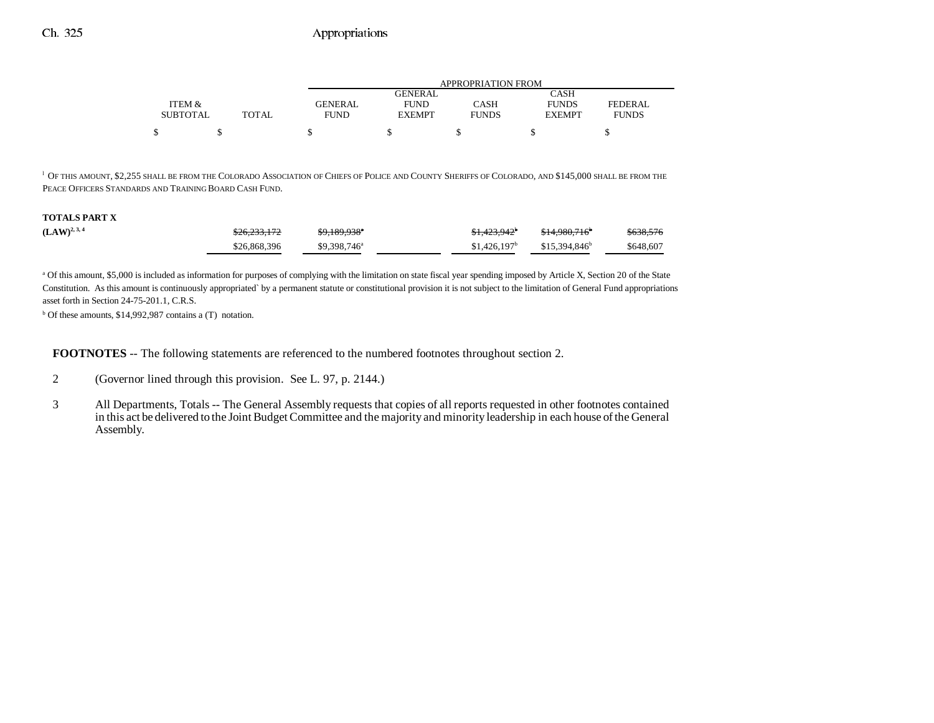|                 |       |                | APPROPRIATION FROM |              |               |              |  |  |  |  |
|-----------------|-------|----------------|--------------------|--------------|---------------|--------------|--|--|--|--|
|                 |       |                | <b>GENERAL</b>     |              | CASH          |              |  |  |  |  |
| ITEM &          |       | <b>GENERAL</b> | <b>FUND</b>        | CASH         | <b>FUNDS</b>  | FEDERAL      |  |  |  |  |
| <b>SUBTOTAL</b> | TOTAL | <b>FUND</b>    | <b>EXEMPT</b>      | <b>FUNDS</b> | <b>EXEMPT</b> | <b>FUNDS</b> |  |  |  |  |
|                 |       |                |                    |              |               |              |  |  |  |  |

l OF THIS AMOUNT, \$2,255 SHALL BE FROM THE COLORADO ASSOCIATION OF CHIEFS OF POLICE AND COUNTY SHERIFFS OF COLORADO, AND \$145,000 SHALL BE FROM THE PEACE OFFICERS STANDARDS AND TRAINING BOARD CASH FUND.

#### **TOTALS PART X**

| $(LAW)^{2, 3, 4}$ | \$26,233,172 | \$9,189,938*             | \$1,423,942 <sup>b</sup> | <del>\$14.980.716</del> | \$638,576 |
|-------------------|--------------|--------------------------|--------------------------|-------------------------|-----------|
|                   | \$26,868,396 | \$9,398,746 <sup>a</sup> | \$1,426,197              | $$15.394.846^b$         | \$648,607 |

a Of this amount, \$5,000 is included as information for purposes of complying with the limitation on state fiscal year spending imposed by Article X, Section 20 of the State Constitution. As this amount is continuously appropriated` by a permanent statute or constitutional provision it is not subject to the limitation of General Fund appropriations asset forth in Section 24-75-201.1, C.R.S.

 $b$  Of these amounts, \$14,992,987 contains a (T) notation.

**FOOTNOTES** -- The following statements are referenced to the numbered footnotes throughout section 2.

- 2 (Governor lined through this provision. See L. 97, p. 2144.)
- 3 All Departments, Totals -- The General Assembly requests that copies of all reports requested in other footnotes contained in this act be delivered to the Joint Budget Committee and the majority and minority leadership in each house of the General Assembly.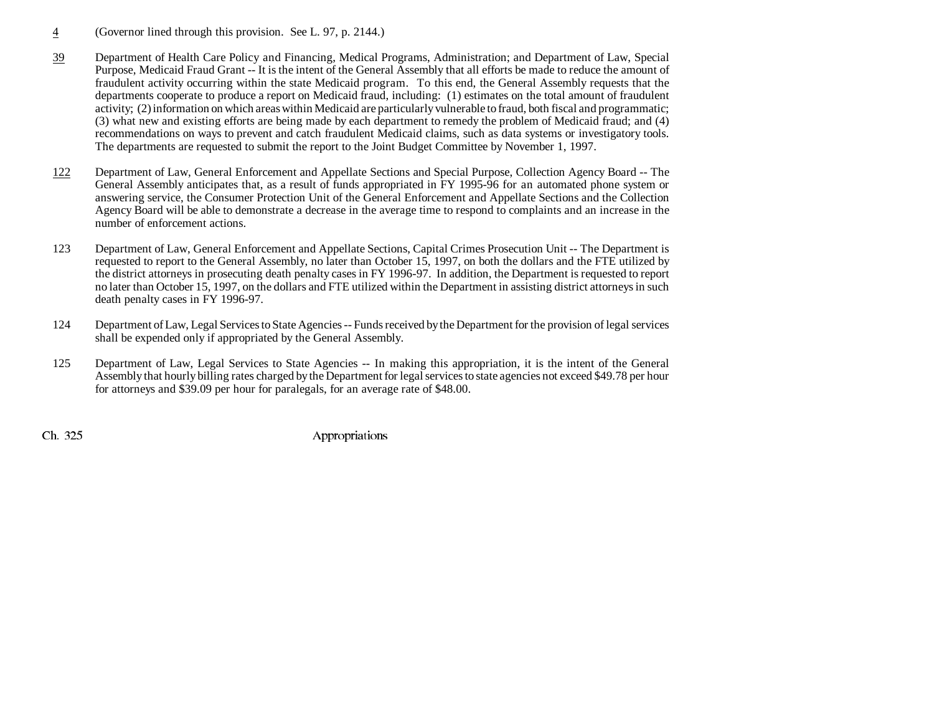- 4(Governor lined through this provision. See L. 97, p. 2144.)
- 39 Department of Health Care Policy and Financing, Medical Programs, Administration; and Department of Law, Special Purpose, Medicaid Fraud Grant -- It is the intent of the General Assembly that all efforts be made to reduce the amount of fraudulent activity occurring within the state Medicaid program. To this end, the General Assembly requests that the departments cooperate to produce a report on Medicaid fraud, including: (1) estimates on the total amount of fraudulent activity; (2) information on which areas within Medicaid are particularly vulnerable to fraud, both fiscal and programmatic; (3) what new and existing efforts are being made by each department to remedy the problem of Medicaid fraud; and (4) recommendations on ways to prevent and catch fraudulent Medicaid claims, such as data systems or investigatory tools. The departments are requested to submit the report to the Joint Budget Committee by November 1, 1997.
- 122 Department of Law, General Enforcement and Appellate Sections and Special Purpose, Collection Agency Board -- The General Assembly anticipates that, as a result of funds appropriated in FY 1995-96 for an automated phone system or answering service, the Consumer Protection Unit of the General Enforcement and Appellate Sections and the Collection Agency Board will be able to demonstrate a decrease in the average time to respond to complaints and an increase in the number of enforcement actions.
- 123 Department of Law, General Enforcement and Appellate Sections, Capital Crimes Prosecution Unit -- The Department is requested to report to the General Assembly, no later than October 15, 1997, on both the dollars and the FTE utilized by the district attorneys in prosecuting death penalty cases in FY 1996-97. In addition, the Department is requested to report no later than October 15, 1997, on the dollars and FTE utilized within the Department in assisting district attorneys in such death penalty cases in FY 1996-97.
- 124 Department of Law, Legal Services to State Agencies -- Funds received by the Department for the provision of legal services shall be expended only if appropriated by the General Assembly.
- 125 Department of Law, Legal Services to State Agencies -- In making this appropriation, it is the intent of the General Assembly that hourly billing rates charged by the Department for legal services to state agencies not exceed \$49.78 per hour for attorneys and \$39.09 per hour for paralegals, for an average rate of \$48.00.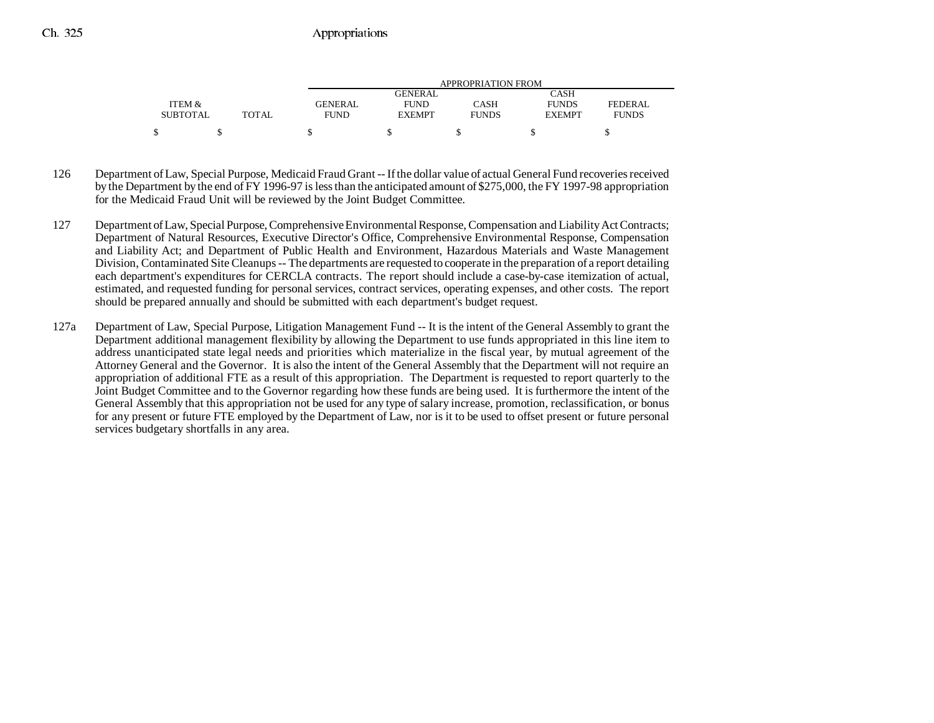|                 |       |                | APPROPRIATION FROM |              |               |              |  |  |  |  |
|-----------------|-------|----------------|--------------------|--------------|---------------|--------------|--|--|--|--|
|                 |       |                | GENERAL            |              | CASH          |              |  |  |  |  |
| ITEM &          |       | <b>GENERAL</b> | <b>FUND</b>        | CASH         | <b>FUNDS</b>  | FEDERAL      |  |  |  |  |
| <b>SUBTOTAL</b> | TOTAL | <b>FUND</b>    | <b>EXEMPT</b>      | <b>FUNDS</b> | <b>EXEMPT</b> | <b>FUNDS</b> |  |  |  |  |
|                 |       |                |                    |              |               |              |  |  |  |  |

- 126 Department of Law, Special Purpose, Medicaid Fraud Grant -- If the dollar value of actual General Fund recoveries received by the Department by the end of FY 1996-97 is less than the anticipated amount of \$275,000, the FY 1997-98 appropriation for the Medicaid Fraud Unit will be reviewed by the Joint Budget Committee.
- 127 Department of Law, Special Purpose, Comprehensive Environmental Response, Compensation and Liability Act Contracts; Department of Natural Resources, Executive Director's Office, Comprehensive Environmental Response, Compensation and Liability Act; and Department of Public Health and Environment, Hazardous Materials and Waste Management Division, Contaminated Site Cleanups -- The departments are requested to cooperate in the preparation of a report detailing each department's expenditures for CERCLA contracts. The report should include a case-by-case itemization of actual, estimated, and requested funding for personal services, contract services, operating expenses, and other costs. The report should be prepared annually and should be submitted with each department's budget request.
- 127a Department of Law, Special Purpose, Litigation Management Fund -- It is the intent of the General Assembly to grant the Department additional management flexibility by allowing the Department to use funds appropriated in this line item to address unanticipated state legal needs and priorities which materialize in the fiscal year, by mutual agreement of the Attorney General and the Governor. It is also the intent of the General Assembly that the Department will not require an appropriation of additional FTE as a result of this appropriation. The Department is requested to report quarterly to the Joint Budget Committee and to the Governor regarding how these funds are being used. It is furthermore the intent of the General Assembly that this appropriation not be used for any type of salary increase, promotion, reclassification, or bonus for any present or future FTE employed by the Department of Law, nor is it to be used to offset present or future personal services budgetary shortfalls in any area.